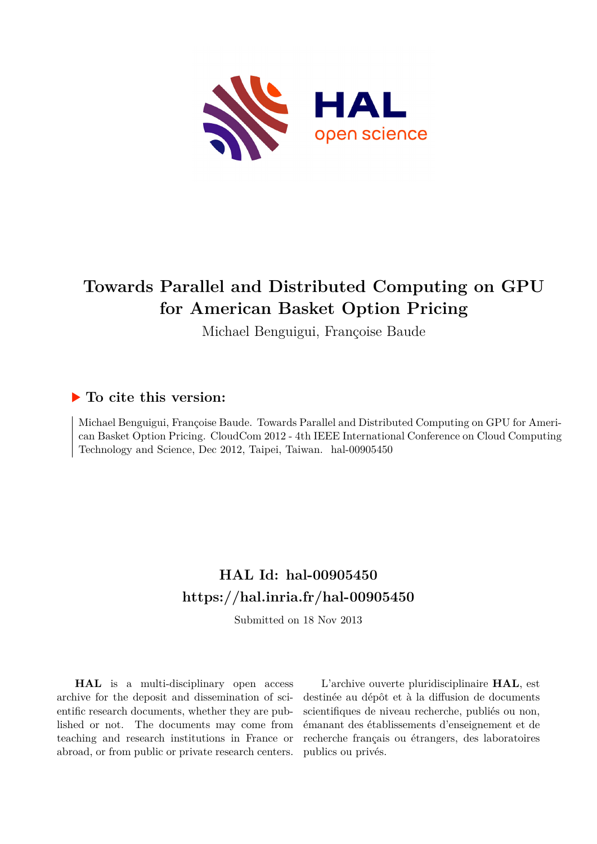

# **Towards Parallel and Distributed Computing on GPU for American Basket Option Pricing**

Michael Benguigui, Françoise Baude

# **To cite this version:**

Michael Benguigui, Françoise Baude. Towards Parallel and Distributed Computing on GPU for American Basket Option Pricing. CloudCom 2012 - 4th IEEE International Conference on Cloud Computing Technology and Science, Dec 2012, Taipei, Taiwan. hal-00905450

# **HAL Id: hal-00905450 <https://hal.inria.fr/hal-00905450>**

Submitted on 18 Nov 2013

**HAL** is a multi-disciplinary open access archive for the deposit and dissemination of scientific research documents, whether they are published or not. The documents may come from teaching and research institutions in France or abroad, or from public or private research centers.

L'archive ouverte pluridisciplinaire **HAL**, est destinée au dépôt et à la diffusion de documents scientifiques de niveau recherche, publiés ou non, émanant des établissements d'enseignement et de recherche français ou étrangers, des laboratoires publics ou privés.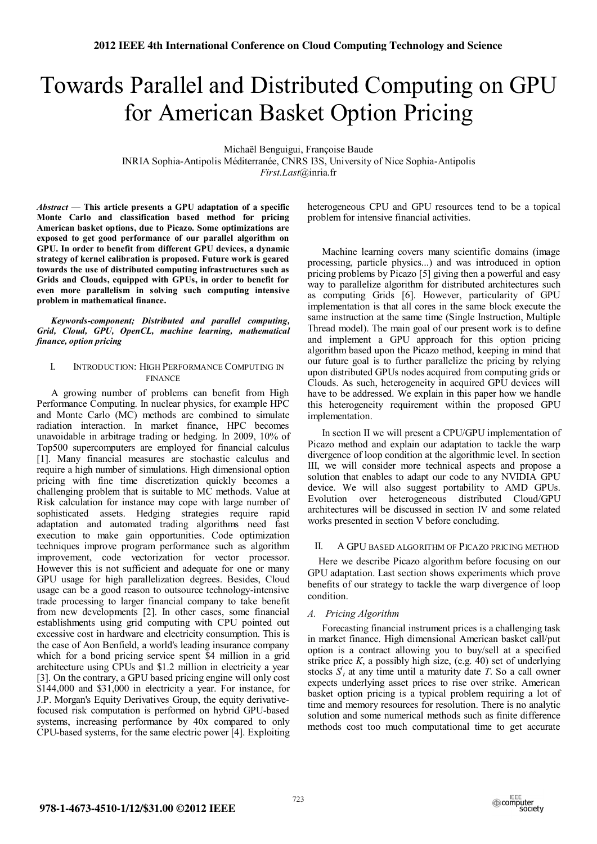# Towards Parallel and Distributed Computing on GPU for American Basket Option Pricing

Michaël Benguigui, Françoise Baude

INRIA Sophia-Antipolis Méditerranée, CNRS I3S, University of Nice Sophia-Antipolis

*First.Last*@inria.fr

*Abstract* **— This article presents a GPU adaptation of a specific Monte Carlo and classification based method for pricing American basket options, due to Picazo. Some optimizations are exposed to get good performance of our parallel algorithm on GPU. In order to benefit from different GPU devices, a dynamic strategy of kernel calibration is proposed. Future work is geared towards the use of distributed computing infrastructures such as Grids and Clouds, equipped with GPUs, in order to benefit for even more parallelism in solving such computing intensive problem in mathematical finance.** 

*Keywords-component; Distributed and parallel computing, Grid, Cloud, GPU, OpenCL, machine learning, mathematical finance, option pricing* 

# I. INTRODUCTION: HIGH PERFORMANCE COMPUTING IN FINANCE

A growing number of problems can benefit from High Performance Computing. In nuclear physics, for example HPC and Monte Carlo (MC) methods are combined to simulate radiation interaction. In market finance, HPC becomes unavoidable in arbitrage trading or hedging. In 2009, 10% of Top500 supercomputers are employed for financial calculus [1]. Many financial measures are stochastic calculus and require a high number of simulations. High dimensional option pricing with fine time discretization quickly becomes a challenging problem that is suitable to MC methods. Value at Risk calculation for instance may cope with large number of sophisticated assets. Hedging strategies require rapid adaptation and automated trading algorithms need fast execution to make gain opportunities. Code optimization techniques improve program performance such as algorithm improvement, code vectorization for vector processor. However this is not sufficient and adequate for one or many GPU usage for high parallelization degrees. Besides, Cloud usage can be a good reason to outsource technology-intensive trade processing to larger financial company to take benefit from new developments [2]. In other cases, some financial establishments using grid computing with CPU pointed out excessive cost in hardware and electricity consumption. This is the case of Aon Benfield, a world's leading insurance company which for a bond pricing service spent \$4 million in a grid architecture using CPUs and \$1.2 million in electricity a year [3]. On the contrary, a GPU based pricing engine will only cost \$144,000 and \$31,000 in electricity a year. For instance, for J.P. Morgan's Equity Derivatives Group, the equity derivativefocused risk computation is performed on hybrid GPU-based systems, increasing performance by 40x compared to only CPU-based systems, for the same electric power [4]. Exploiting heterogeneous CPU and GPU resources tend to be a topical problem for intensive financial activities.

Machine learning covers many scientific domains (image processing, particle physics...) and was introduced in option pricing problems by Picazo [5] giving then a powerful and easy way to parallelize algorithm for distributed architectures such as computing Grids [6]. However, particularity of GPU implementation is that all cores in the same block execute the same instruction at the same time (Single Instruction, Multiple Thread model). The main goal of our present work is to define and implement a GPU approach for this option pricing algorithm based upon the Picazo method, keeping in mind that our future goal is to further parallelize the pricing by relying upon distributed GPUs nodes acquired from computing grids or Clouds. As such, heterogeneity in acquired GPU devices will have to be addressed. We explain in this paper how we handle this heterogeneity requirement within the proposed GPU implementation.

In section II we will present a CPU/GPU implementation of Picazo method and explain our adaptation to tackle the warp divergence of loop condition at the algorithmic level. In section III, we will consider more technical aspects and propose a solution that enables to adapt our code to any NVIDIA GPU device. We will also suggest portability to AMD GPUs.<br>Evolution over heterogeneous distributed Cloud/GPU heterogeneous distributed Cloud/GPU architectures will be discussed in section IV and some related works presented in section V before concluding.

## II. A GPU BASED ALGORITHM OF PICAZO PRICING METHOD

Here we describe Picazo algorithm before focusing on our GPU adaptation. Last section shows experiments which prove benefits of our strategy to tackle the warp divergence of loop condition.

# *A. Pricing Algorithm*

Forecasting financial instrument prices is a challenging task in market finance. High dimensional American basket call/put option is a contract allowing you to buy/sell at a specified strike price *K*, a possibly high size, (e.g. 40) set of underlying stocks  $S_t$  at any time until a maturity date *T*. So a call owner expects underlying asset prices to rise over strike. American basket option pricing is a typical problem requiring a lot of time and memory resources for resolution. There is no analytic solution and some numerical methods such as finite difference methods cost too much computational time to get accurate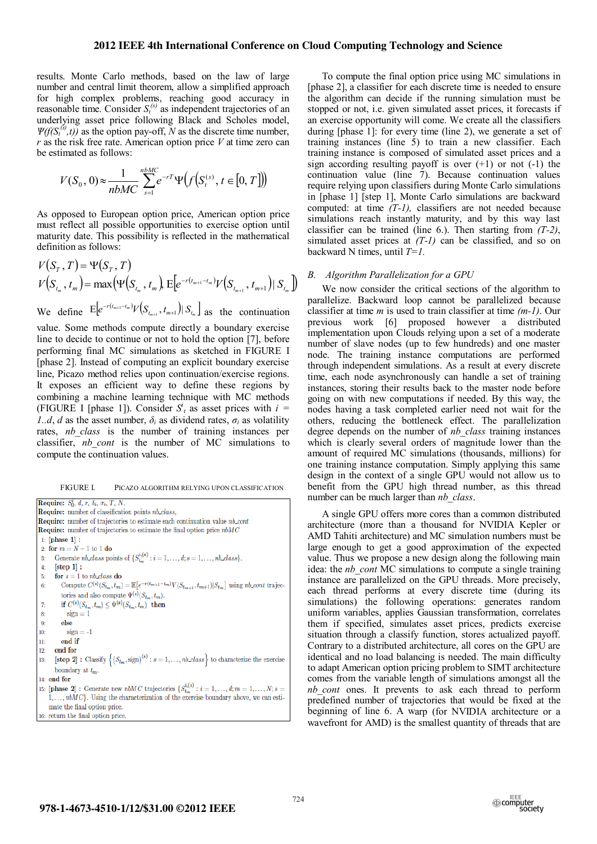results. Monte Carlo methods, based on the law of large number and central limit theorem, allow a simplified approach for high complex problems, reaching good accuracy in reasonable time. Consider  $S_t^{(s)}$  as independent trajectories of an underlying asset price following Black and Scholes model,  $\Psi(f(S_t^{(s)},t))$  as the option pay-off, *N* as the discrete time number, *r* as the risk free rate. American option price *V* at time zero can be estimated as follows:

$$
V(S_0, 0) \approx \frac{1}{nbMC} \sum_{s=1}^{nbMC} e^{-rT} \Psi \big(f\big(S_t^{(s)}, t \in [0, T]\big)\big)
$$

As opposed to European option price, American option price must reflect all possible opportunities to exercise option until maturity date. This possibility is reflected in the mathematical definition as follows:

$$
V(S_T, T) = \Psi(S_T, T)
$$
  
 
$$
V(S_{t_m}, t_m) = \max(\Psi(S_{t_m}, t_m), E[e^{-r(t_{m+1} - t_m)}V(S_{t_{m+1}}, t_{m+1})| S_{t_m})]
$$

We define  $E[e^{-r(t_{m+1}-t_m)}V(S_{t_{m+1}}, t_{m+1})|S_{t_m}]$  $E[e^{-r(t_{m+1}-t_m)}V(S_{t_{m+1}}, t_{m+1})|S_{t_m}]$  as the continuation value. Some methods compute directly a boundary exercise line to decide to continue or not to hold the option [7], before performing final MC simulations as sketched in FIGURE I [phase 2]. Instead of computing an explicit boundary exercise line, Picazo method relies upon continuation/exercise regions. It exposes an efficient way to define these regions by combining a machine learning technique with MC methods (FIGURE I [phase 1]). Consider  $S_t^i$  as asset prices with  $i =$ *1..d, d* as the asset number,  $\delta_i$  as dividend rates,  $\sigma_i$  as volatility rates, *nb\_class* is the number of training instances per classifier, *nb\_cont* is the number of MC simulations to compute the continuation values.

FIGURE I. PICAZO ALGORITHM RELYING UPON CLASSIFICATION

```
Require: S_0^i, d, r, \delta_i, \sigma_i, T, N.
Require: number of classification points nb class,
Require: number of trajectories to estimate each continuation value nb cont
Require: number of trajectories to estimate the final option price nbMC1: [phase 1] :
 2: for m = N - 1 to 1 do
       Generate nb class points of \{S_{t_m}^{i,(s)} : i = 1,\ldots,d; s = 1,\ldots,nb class.
 3<sup>2</sup>\mathbf{A}^2[step 1]:for s = 1 to nb_class do
 5<sup>1</sup>Compute C^{(s)}(S_{t_m}, t_m) = \mathbb{E}\big[e^{-r(t_{m+1}-t_m)}V(S_{t_{m+1}}, t_{m+1})|S_{t_m}\big] using nb_cont trajec-
 6:tories and also compute \Psi^{(s)}(S_{t_m}, t_m).
          if C^{(s)}(S_{t_m}, t_m) \leq \Psi^{(s)}(S_{t_m}, t_m) then
 \overline{L}sign = 18:olso
 \alpha10<sup>-</sup>
            sign = -1\overline{\mathbf{u}}end if
       end for
12:[step 2]: Classify \{(S_{t_m}, sign)^{(s)} : s = 1, ..., nb\_class\} to characterize the exercise
 13<sup>1</sup>boundary at t_{-}.
 14 and for
15: [phase 2] : Generate new nbMC trajectories \{S_{t_m}^{i,(s)} : i = 1,\ldots,d; m = 1,\ldots,N; s = 1\}1, \ldots, nbMC. Using the characterization of the exercise boundary above, we can esti-
    mate the final option price.
 16: return the final option price
```
To compute the final option price using MC simulations in [phase 2], a classifier for each discrete time is needed to ensure the algorithm can decide if the running simulation must be stopped or not, i.e. given simulated asset prices, it forecasts if an exercise opportunity will come. We create all the classifiers during [phase 1]: for every time (line 2), we generate a set of training instances (line 5) to train a new classifier. Each training instance is composed of simulated asset prices and a sign according resulting payoff is over  $(+1)$  or not  $(-1)$  the continuation value (line 7). Because continuation values require relying upon classifiers during Monte Carlo simulations in [phase 1] [step 1], Monte Carlo simulations are backward computed: at time *(T-1),* classifiers are not needed because simulations reach instantly maturity, and by this way last classifier can be trained (line 6.). Then starting from *(T-2)*, simulated asset prices at  $(T-1)$  can be classified, and so on backward N times, until *T=1.*

#### *B. Algorithm Parallelization for a GPU*

We now consider the critical sections of the algorithm to parallelize. Backward loop cannot be parallelized because classifier at time *m* is used to train classifier at time *(m-1)*. Our previous work [6] proposed however a distributed implementation upon Clouds relying upon a set of a moderate number of slave nodes (up to few hundreds) and one master node. The training instance computations are performed through independent simulations. As a result at every discrete time, each node asynchronously can handle a set of training instances, storing their results back to the master node before going on with new computations if needed. By this way, the nodes having a task completed earlier need not wait for the others, reducing the bottleneck effect. The parallelization degree depends on the number of *nb\_class* training instances which is clearly several orders of magnitude lower than the amount of required MC simulations (thousands, millions) for one training instance computation. Simply applying this same design in the context of a single GPU would not allow us to benefit from the GPU high thread number, as this thread number can be much larger than *nb\_class*.

A single GPU offers more cores than a common distributed architecture (more than a thousand for NVIDIA Kepler or AMD Tahiti architecture) and MC simulation numbers must be large enough to get a good approximation of the expected value. Thus we propose a new design along the following main idea: the *nb\_cont* MC simulations to compute a single training instance are parallelized on the GPU threads. More precisely, each thread performs at every discrete time (during its simulations) the following operations: generates random uniform variables, applies Gaussian transformation, correlates them if specified, simulates asset prices, predicts exercise situation through a classify function, stores actualized payoff. Contrary to a distributed architecture, all cores on the GPU are identical and no load balancing is needed. The main difficulty to adapt American option pricing problem to SIMT architecture comes from the variable length of simulations amongst all the *nb* cont ones. It prevents to ask each thread to perform predefined number of trajectories that would be fixed at the beginning of line 6. A warp (for NVIDIA architecture or a wavefront for AMD) is the smallest quantity of threads that are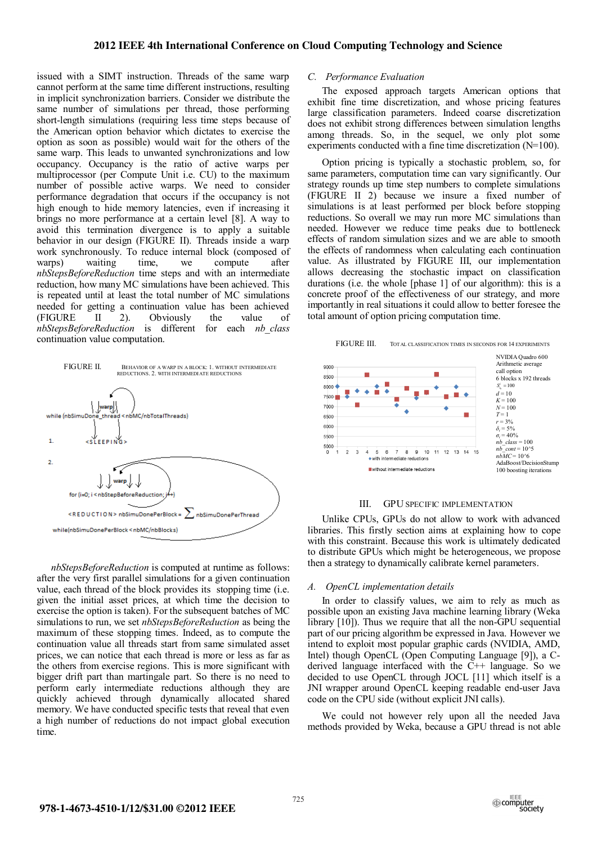issued with a SIMT instruction. Threads of the same warp cannot perform at the same time different instructions, resulting in implicit synchronization barriers. Consider we distribute the same number of simulations per thread, those performing short-length simulations (requiring less time steps because of the American option behavior which dictates to exercise the option as soon as possible) would wait for the others of the same warp. This leads to unwanted synchronizations and low occupancy. Occupancy is the ratio of active warps per multiprocessor (per Compute Unit i.e. CU) to the maximum number of possible active warps. We need to consider performance degradation that occurs if the occupancy is not high enough to hide memory latencies, even if increasing it brings no more performance at a certain level [8]. A way to avoid this termination divergence is to apply a suitable behavior in our design (FIGURE II). Threads inside a warp work synchronously. To reduce internal block (composed of warps) waiting time, we compute after warps) waiting time, we compute after *nbStepsBeforeReduction* time steps and with an intermediate reduction, how many MC simulations have been achieved. This is repeated until at least the total number of MC simulations needed for getting a continuation value has been achieved (FIGURE II 2). Obviously the value of *nbStepsBeforeReduction* is different for each *nb\_class* continuation value computation.



*nbStepsBeforeReduction* is computed at runtime as follows: after the very first parallel simulations for a given continuation value, each thread of the block provides its stopping time (i.e. given the initial asset prices, at which time the decision to exercise the option is taken). For the subsequent batches of MC simulations to run, we set *nbStepsBeforeReduction* as being the maximum of these stopping times. Indeed, as to compute the continuation value all threads start from same simulated asset prices, we can notice that each thread is more or less as far as the others from exercise regions. This is more significant with bigger drift part than martingale part. So there is no need to perform early intermediate reductions although they are quickly achieved through dynamically allocated shared memory. We have conducted specific tests that reveal that even a high number of reductions do not impact global execution time.

# *C. Performance Evaluation*

The exposed approach targets American options that exhibit fine time discretization, and whose pricing features large classification parameters. Indeed coarse discretization does not exhibit strong differences between simulation lengths among threads. So, in the sequel, we only plot some experiments conducted with a fine time discretization (N=100).

Option pricing is typically a stochastic problem, so, for same parameters, computation time can vary significantly. Our strategy rounds up time step numbers to complete simulations (FIGURE II 2) because we insure a fixed number of simulations is at least performed per block before stopping reductions. So overall we may run more MC simulations than needed. However we reduce time peaks due to bottleneck effects of random simulation sizes and we are able to smooth the effects of randomness when calculating each continuation value. As illustrated by FIGURE III, our implementation allows decreasing the stochastic impact on classification durations (i.e. the whole [phase 1] of our algorithm): this is a concrete proof of the effectiveness of our strategy, and more importantly in real situations it could allow to better foresee the total amount of option pricing computation time.



#### III. GPU SPECIFIC IMPLEMENTATION

Unlike CPUs, GPUs do not allow to work with advanced libraries. This firstly section aims at explaining how to cope with this constraint. Because this work is ultimately dedicated to distribute GPUs which might be heterogeneous, we propose then a strategy to dynamically calibrate kernel parameters.

#### *A. OpenCL implementation details*

In order to classify values, we aim to rely as much as possible upon an existing Java machine learning library (Weka library [10]). Thus we require that all the non-GPU sequential part of our pricing algorithm be expressed in Java. However we intend to exploit most popular graphic cards (NVIDIA, AMD, Intel) though OpenCL (Open Computing Language [9]), a Cderived language interfaced with the C++ language. So we decided to use OpenCL through JOCL [11] which itself is a JNI wrapper around OpenCL keeping readable end-user Java code on the CPU side (without explicit JNI calls).

We could not however rely upon all the needed Java methods provided by Weka, because a GPU thread is not able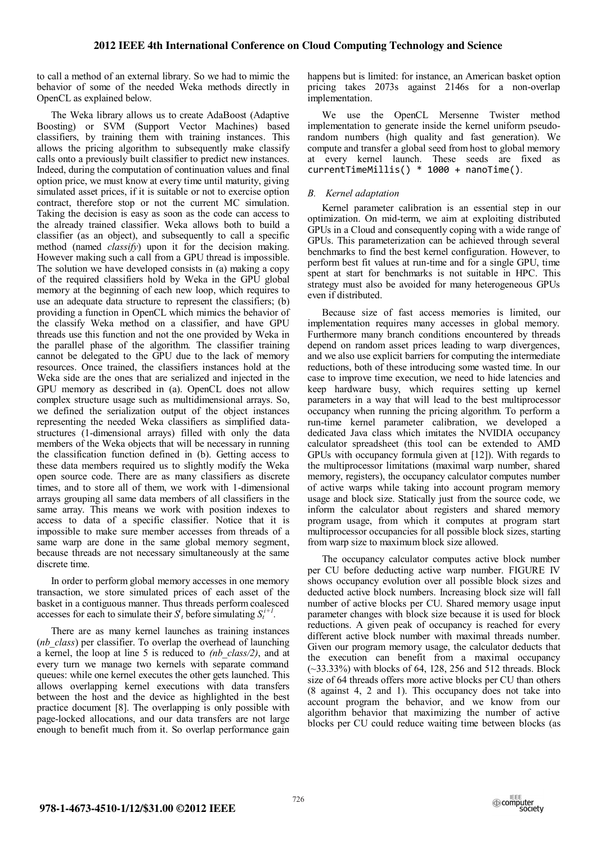to call a method of an external library. So we had to mimic the behavior of some of the needed Weka methods directly in OpenCL as explained below.

The Weka library allows us to create AdaBoost (Adaptive Boosting) or SVM (Support Vector Machines) based classifiers, by training them with training instances. This allows the pricing algorithm to subsequently make classify calls onto a previously built classifier to predict new instances. Indeed, during the computation of continuation values and final option price, we must know at every time until maturity, giving simulated asset prices, if it is suitable or not to exercise option contract, therefore stop or not the current MC simulation. Taking the decision is easy as soon as the code can access to the already trained classifier. Weka allows both to build a classifier (as an object), and subsequently to call a specific method (named *classify*) upon it for the decision making. However making such a call from a GPU thread is impossible. The solution we have developed consists in (a) making a copy of the required classifiers hold by Weka in the GPU global memory at the beginning of each new loop, which requires to use an adequate data structure to represent the classifiers; (b) providing a function in OpenCL which mimics the behavior of the classify Weka method on a classifier, and have GPU threads use this function and not the one provided by Weka in the parallel phase of the algorithm. The classifier training cannot be delegated to the GPU due to the lack of memory resources. Once trained, the classifiers instances hold at the Weka side are the ones that are serialized and injected in the GPU memory as described in (a). OpenCL does not allow complex structure usage such as multidimensional arrays. So, we defined the serialization output of the object instances representing the needed Weka classifiers as simplified datastructures (1-dimensional arrays) filled with only the data members of the Weka objects that will be necessary in running the classification function defined in (b). Getting access to these data members required us to slightly modify the Weka open source code. There are as many classifiers as discrete times, and to store all of them, we work with 1-dimensional arrays grouping all same data members of all classifiers in the same array. This means we work with position indexes to access to data of a specific classifier. Notice that it is impossible to make sure member accesses from threads of a same warp are done in the same global memory segment, because threads are not necessary simultaneously at the same discrete time.

In order to perform global memory accesses in one memory transaction, we store simulated prices of each asset of the basket in a contiguous manner. Thus threads perform coalesced accesses for each to simulate their  $S_t$  before simulating  $S_t^{i+1}$ .

There are as many kernel launches as training instances (*nb\_class*) per classifier. To overlap the overhead of launching a kernel, the loop at line 5 is reduced to *(nb\_class/2)*, and at every turn we manage two kernels with separate command queues: while one kernel executes the other gets launched. This allows overlapping kernel executions with data transfers between the host and the device as highlighted in the best practice document [8]. The overlapping is only possible with page-locked allocations, and our data transfers are not large enough to benefit much from it. So overlap performance gain

happens but is limited: for instance, an American basket option pricing takes 2073s against 2146s for a non-overlap implementation.

We use the OpenCL Mersenne Twister method implementation to generate inside the kernel uniform pseudorandom numbers (high quality and fast generation). We compute and transfer a global seed from host to global memory at every kernel launch. These seeds are fixed as  $currentTimeMillis() * 1000 + nanofime().$ 

# *B. Kernel adaptation*

Kernel parameter calibration is an essential step in our optimization. On mid-term, we aim at exploiting distributed GPUs in a Cloud and consequently coping with a wide range of GPUs. This parameterization can be achieved through several benchmarks to find the best kernel configuration. However, to perform best fit values at run-time and for a single GPU, time spent at start for benchmarks is not suitable in HPC. This strategy must also be avoided for many heterogeneous GPUs even if distributed.

Because size of fast access memories is limited, our implementation requires many accesses in global memory. Furthermore many branch conditions encountered by threads depend on random asset prices leading to warp divergences, and we also use explicit barriers for computing the intermediate reductions, both of these introducing some wasted time. In our case to improve time execution, we need to hide latencies and keep hardware busy, which requires setting up kernel parameters in a way that will lead to the best multiprocessor occupancy when running the pricing algorithm. To perform a run-time kernel parameter calibration, we developed a dedicated Java class which imitates the NVIDIA occupancy calculator spreadsheet (this tool can be extended to AMD GPUs with occupancy formula given at [12]). With regards to the multiprocessor limitations (maximal warp number, shared memory, registers), the occupancy calculator computes number of active warps while taking into account program memory usage and block size. Statically just from the source code, we inform the calculator about registers and shared memory program usage, from which it computes at program start multiprocessor occupancies for all possible block sizes, starting from warp size to maximum block size allowed.

The occupancy calculator computes active block number per CU before deducting active warp number. FIGURE IV shows occupancy evolution over all possible block sizes and deducted active block numbers. Increasing block size will fall number of active blocks per CU. Shared memory usage input parameter changes with block size because it is used for block reductions. A given peak of occupancy is reached for every different active block number with maximal threads number. Given our program memory usage, the calculator deducts that the execution can benefit from a maximal occupancy (~33.33%) with blocks of 64, 128, 256 and 512 threads. Block size of 64 threads offers more active blocks per CU than others (8 against 4, 2 and 1). This occupancy does not take into account program the behavior, and we know from our algorithm behavior that maximizing the number of active blocks per CU could reduce waiting time between blocks (as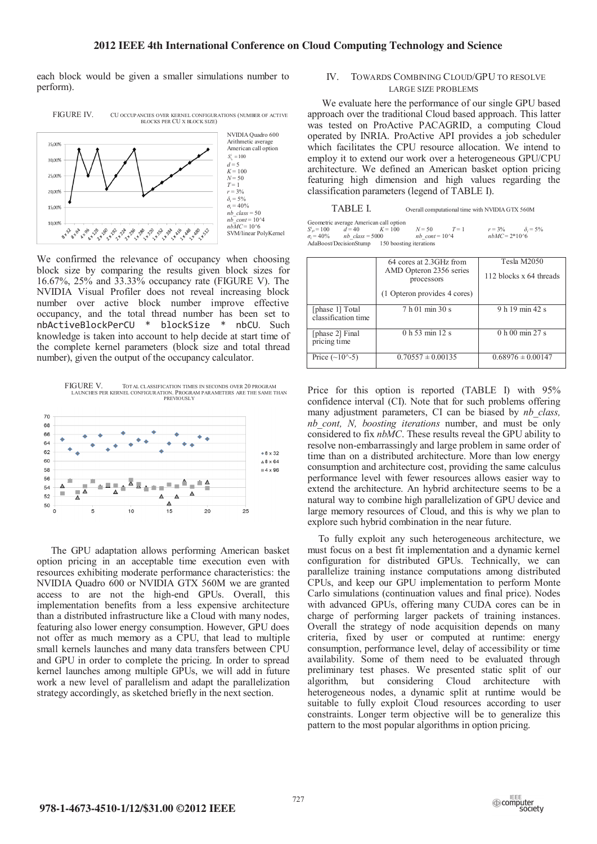each block would be given a smaller simulations number to perform).

FIGURE IV. CU OCCUPANCIES OVER KERNEL CONFIGURATIONS (NUMBER OF ACTIVE BLOCKS PER CU X BLOCK SIZE)



We confirmed the relevance of occupancy when choosing block size by comparing the results given block sizes for 16.67%, 25% and 33.33% occupancy rate (FIGURE V). The NVIDIA Visual Profiler does not reveal increasing block number over active block number improve effective occupancy, and the total thread number has been set to nbActiveBlockPerCU \* blockSize \* nbCU. Such knowledge is taken into account to help decide at start time of the complete kernel parameters (block size and total thread number), given the output of the occupancy calculator.

FIGURE V. TOTAL CLASSIFICATION TIMES IN SECONDS OVER 20 PROGRAM LAUNCHES PER KERNEL CONFIGURATION. PROGRAM PARAMETERS ARE THE SAME THAN PREVIOUSLY



The GPU adaptation allows performing American basket option pricing in an acceptable time execution even with resources exhibiting moderate performance characteristics: the NVIDIA Quadro 600 or NVIDIA GTX 560M we are granted access to are not the high-end GPUs. Overall, this implementation benefits from a less expensive architecture than a distributed infrastructure like a Cloud with many nodes, featuring also lower energy consumption. However, GPU does not offer as much memory as a CPU, that lead to multiple small kernels launches and many data transfers between CPU and GPU in order to complete the pricing. In order to spread kernel launches among multiple GPUs, we will add in future work a new level of parallelism and adapt the parallelization strategy accordingly, as sketched briefly in the next section.

## IV. TOWARDS COMBINING CLOUD/GPU TO RESOLVE LARGE SIZE PROBLEMS

We evaluate here the performance of our single GPU based approach over the traditional Cloud based approach. This latter was tested on ProActive PACAGRID, a computing Cloud operated by INRIA. ProActive API provides a job scheduler which facilitates the CPU resource allocation. We intend to employ it to extend our work over a heterogeneous GPU/CPU architecture. We defined an American basket option pricing featuring high dimension and high values regarding the classification parameters (legend of TABLE I).

TABLE I. Overall computational time with NVIDIA GTX 560M

Geometric average American call option<br> $S^i = 100$   $d = 40$   $K = 100$  $S^i_{i} = 100$ <br> $\sigma_i = 40\%$ *t*<sub>100</sub> *t*<sub>1</sub> = 100 *N* = 50 *T* = 1 *r* = 3%  $\delta_i$  = 5%<br> *nb cont* = 10^4 *nbMC* = 2\*10^6  $\frac{a}{nb}$   $\frac{10}{class} = 5000$ AdaBoost/DecisionStump 150 boosting iterations

|                                        | 64 cores at 2.3GHz from<br>AMD Opteron 2356 series<br>processors | Tesla M2050<br>112 blocks x 64 threads |
|----------------------------------------|------------------------------------------------------------------|----------------------------------------|
|                                        | (1 Opteron provides 4 cores)                                     |                                        |
| [phase 1] Total<br>classification time | 7 h 01 min 30 s                                                  | 9 h 19 min 42 s                        |
| [phase 2] Final<br>pricing time        | 0 h 53 min $12 s$                                                | 0 h 00 min $27 s$                      |
| Price $(-10^{\circ}-5)$                | $0.70557 \pm 0.00135$                                            | $0.68976 \pm 0.00147$                  |

Price for this option is reported (TABLE I) with  $95\%$ confidence interval (CI). Note that for such problems offering many adjustment parameters, CI can be biased by *nb\_class, nb\_cont, N, boosting iterations* number, and must be only considered to fix *nbMC*. These results reveal the GPU ability to resolve non-embarrassingly and large problem in same order of time than on a distributed architecture. More than low energy consumption and architecture cost, providing the same calculus performance level with fewer resources allows easier way to extend the architecture. An hybrid architecture seems to be a natural way to combine high parallelization of GPU device and large memory resources of Cloud, and this is why we plan to explore such hybrid combination in the near future.

To fully exploit any such heterogeneous architecture, we must focus on a best fit implementation and a dynamic kernel configuration for distributed GPUs. Technically, we can parallelize training instance computations among distributed CPUs, and keep our GPU implementation to perform Monte Carlo simulations (continuation values and final price). Nodes with advanced GPUs, offering many CUDA cores can be in charge of performing larger packets of training instances. Overall the strategy of node acquisition depends on many criteria, fixed by user or computed at runtime: energy consumption, performance level, delay of accessibility or time availability. Some of them need to be evaluated through preliminary test phases. We presented static split of our algorithm, but considering Cloud architecture with but considering Cloud architecture with heterogeneous nodes, a dynamic split at runtime would be suitable to fully exploit Cloud resources according to user constraints. Longer term objective will be to generalize this pattern to the most popular algorithms in option pricing.